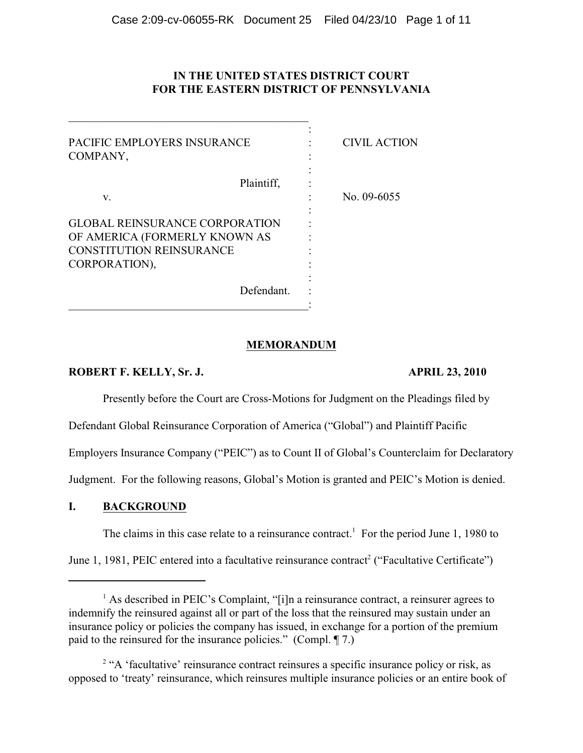# **IN THE UNITED STATES DISTRICT COURT FOR THE EASTERN DISTRICT OF PENNSYLVANIA**

| PACIFIC EMPLOYERS INSURANCE<br>COMPANY,                                                                                    | <b>CIVIL ACTION</b> |
|----------------------------------------------------------------------------------------------------------------------------|---------------------|
| Plaintiff.<br>V.                                                                                                           | No. $09-6055$       |
| <b>GLOBAL REINSURANCE CORPORATION</b><br>OF AMERICA (FORMERLY KNOWN AS<br><b>CONSTITUTION REINSURANCE</b><br>CORPORATION), |                     |
| Defendant.                                                                                                                 |                     |

## **MEMORANDUM**

## **ROBERT F. KELLY, Sr. J. APRIL 23, 2010**

Presently before the Court are Cross-Motions for Judgment on the Pleadings filed by

Defendant Global Reinsurance Corporation of America ("Global") and Plaintiff Pacific

Employers Insurance Company ("PEIC") as to Count II of Global's Counterclaim for Declaratory

Judgment. For the following reasons, Global's Motion is granted and PEIC's Motion is denied.

# **I. BACKGROUND**

The claims in this case relate to a reinsurance contract.<sup>1</sup> For the period June 1, 1980 to

June 1, 1981, PEIC entered into a facultative reinsurance contract<sup>2</sup> ("Facultative Certificate")

 $<sup>1</sup>$  As described in PEIC's Complaint, "[i]n a reinsurance contract, a reinsurer agrees to</sup> indemnify the reinsured against all or part of the loss that the reinsured may sustain under an insurance policy or policies the company has issued, in exchange for a portion of the premium paid to the reinsured for the insurance policies." (Compl. ¶ 7.)

<sup>&</sup>lt;sup>2</sup> "A 'facultative' reinsurance contract reinsures a specific insurance policy or risk, as opposed to 'treaty' reinsurance, which reinsures multiple insurance policies or an entire book of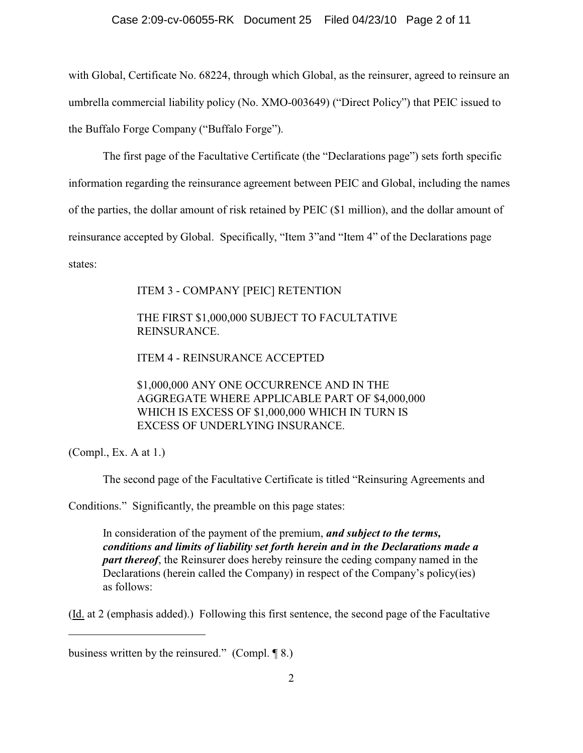## Case 2:09-cv-06055-RK Document 25 Filed 04/23/10 Page 2 of 11

with Global, Certificate No. 68224, through which Global, as the reinsurer, agreed to reinsure an umbrella commercial liability policy (No. XMO-003649) ("Direct Policy") that PEIC issued to the Buffalo Forge Company ("Buffalo Forge").

The first page of the Facultative Certificate (the "Declarations page") sets forth specific

information regarding the reinsurance agreement between PEIC and Global, including the names

of the parties, the dollar amount of risk retained by PEIC (\$1 million), and the dollar amount of

reinsurance accepted by Global. Specifically, "Item 3"and "Item 4" of the Declarations page

states:

ITEM 3 - COMPANY [PEIC] RETENTION

# THE FIRST \$1,000,000 SUBJECT TO FACULTATIVE REINSURANCE.

ITEM 4 - REINSURANCE ACCEPTED

\$1,000,000 ANY ONE OCCURRENCE AND IN THE AGGREGATE WHERE APPLICABLE PART OF \$4,000,000 WHICH IS EXCESS OF \$1,000,000 WHICH IN TURN IS EXCESS OF UNDERLYING INSURANCE.

(Compl., Ex. A at 1.)

The second page of the Facultative Certificate is titled "Reinsuring Agreements and

Conditions." Significantly, the preamble on this page states:

In consideration of the payment of the premium, *and subject to the terms, conditions and limits of liability set forth herein and in the Declarations made a part thereof*, the Reinsurer does hereby reinsure the ceding company named in the Declarations (herein called the Company) in respect of the Company's policy(ies) as follows:

(Id. at 2 (emphasis added).) Following this first sentence, the second page of the Facultative

business written by the reinsured." (Compl. ¶ 8.)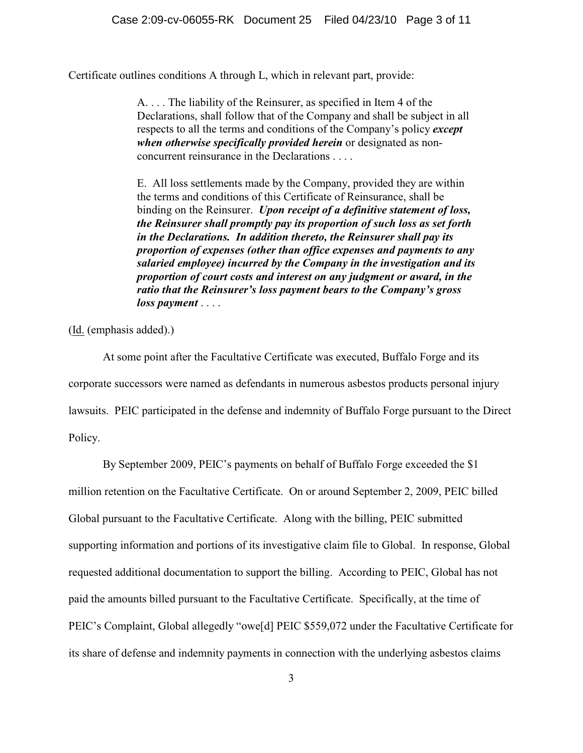Certificate outlines conditions A through L, which in relevant part, provide:

A. . . . The liability of the Reinsurer, as specified in Item 4 of the Declarations, shall follow that of the Company and shall be subject in all respects to all the terms and conditions of the Company's policy *except when otherwise specifically provided herein* or designated as nonconcurrent reinsurance in the Declarations . . . .

E. All loss settlements made by the Company, provided they are within the terms and conditions of this Certificate of Reinsurance, shall be binding on the Reinsurer. *Upon receipt of a definitive statement of loss, the Reinsurer shall promptly pay its proportion of such loss as set forth in the Declarations. In addition thereto, the Reinsurer shall pay its proportion of expenses (other than office expenses and payments to any salaried employee) incurred by the Company in the investigation and its proportion of court costs and interest on any judgment or award, in the ratio that the Reinsurer's loss payment bears to the Company's gross loss payment* . . . .

(Id. (emphasis added).)

At some point after the Facultative Certificate was executed, Buffalo Forge and its corporate successors were named as defendants in numerous asbestos products personal injury lawsuits. PEIC participated in the defense and indemnity of Buffalo Forge pursuant to the Direct Policy.

By September 2009, PEIC's payments on behalf of Buffalo Forge exceeded the \$1 million retention on the Facultative Certificate. On or around September 2, 2009, PEIC billed Global pursuant to the Facultative Certificate. Along with the billing, PEIC submitted supporting information and portions of its investigative claim file to Global. In response, Global requested additional documentation to support the billing. According to PEIC, Global has not paid the amounts billed pursuant to the Facultative Certificate. Specifically, at the time of PEIC's Complaint, Global allegedly "owe[d] PEIC \$559,072 under the Facultative Certificate for its share of defense and indemnity payments in connection with the underlying asbestos claims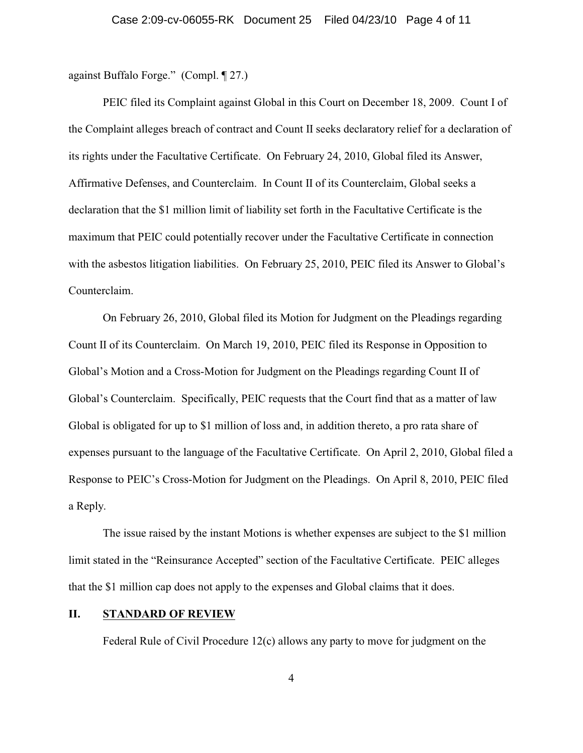against Buffalo Forge." (Compl. ¶ 27.)

PEIC filed its Complaint against Global in this Court on December 18, 2009. Count I of the Complaint alleges breach of contract and Count II seeks declaratory relief for a declaration of its rights under the Facultative Certificate. On February 24, 2010, Global filed its Answer, Affirmative Defenses, and Counterclaim. In Count II of its Counterclaim, Global seeks a declaration that the \$1 million limit of liability set forth in the Facultative Certificate is the maximum that PEIC could potentially recover under the Facultative Certificate in connection with the asbestos litigation liabilities. On February 25, 2010, PEIC filed its Answer to Global's Counterclaim.

On February 26, 2010, Global filed its Motion for Judgment on the Pleadings regarding Count II of its Counterclaim. On March 19, 2010, PEIC filed its Response in Opposition to Global's Motion and a Cross-Motion for Judgment on the Pleadings regarding Count II of Global's Counterclaim. Specifically, PEIC requests that the Court find that as a matter of law Global is obligated for up to \$1 million of loss and, in addition thereto, a pro rata share of expenses pursuant to the language of the Facultative Certificate. On April 2, 2010, Global filed a Response to PEIC's Cross-Motion for Judgment on the Pleadings. On April 8, 2010, PEIC filed a Reply.

The issue raised by the instant Motions is whether expenses are subject to the \$1 million limit stated in the "Reinsurance Accepted" section of the Facultative Certificate. PEIC alleges that the \$1 million cap does not apply to the expenses and Global claims that it does.

### **II. STANDARD OF REVIEW**

Federal Rule of Civil Procedure 12(c) allows any party to move for judgment on the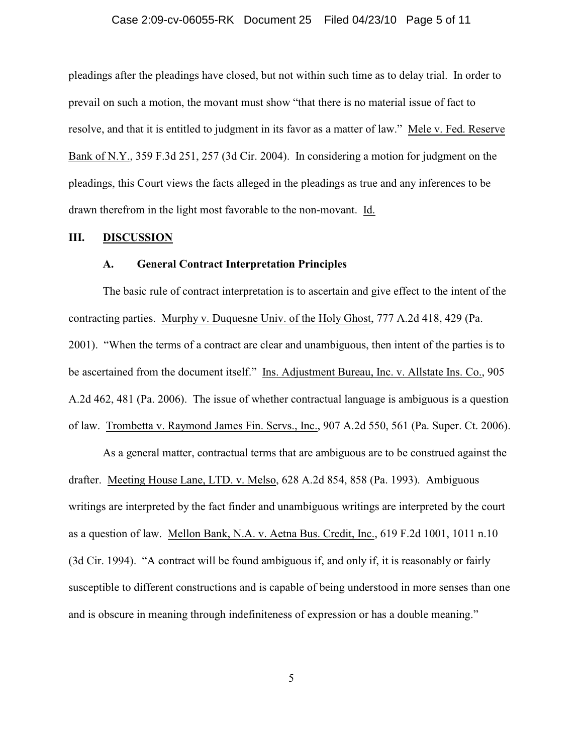#### Case 2:09-cv-06055-RK Document 25 Filed 04/23/10 Page 5 of 11

pleadings after the pleadings have closed, but not within such time as to delay trial. In order to prevail on such a motion, the movant must show "that there is no material issue of fact to resolve, and that it is entitled to judgment in its favor as a matter of law." Mele v. Fed. Reserve Bank of N.Y., 359 F.3d 251, 257 (3d Cir. 2004). In considering a motion for judgment on the pleadings, this Court views the facts alleged in the pleadings as true and any inferences to be drawn therefrom in the light most favorable to the non-movant. Id.

#### **III. DISCUSSION**

#### **A. General Contract Interpretation Principles**

The basic rule of contract interpretation is to ascertain and give effect to the intent of the contracting parties. Murphy v. Duquesne Univ. of the Holy Ghost, 777 A.2d 418, 429 (Pa. 2001). "When the terms of a contract are clear and unambiguous, then intent of the parties is to be ascertained from the document itself." Ins. Adjustment Bureau, Inc. v. Allstate Ins. Co., 905 A.2d 462, 481 (Pa. 2006). The issue of whether contractual language is ambiguous is a question of law. Trombetta v. Raymond James Fin. Servs., Inc., 907 A.2d 550, 561 (Pa. Super. Ct. 2006).

As a general matter, contractual terms that are ambiguous are to be construed against the drafter. Meeting House Lane, LTD. v. Melso, 628 A.2d 854, 858 (Pa. 1993). Ambiguous writings are interpreted by the fact finder and unambiguous writings are interpreted by the court as a question of law. Mellon Bank, N.A. v. Aetna Bus. Credit, Inc., 619 F.2d 1001, 1011 n.10 (3d Cir. 1994). "A contract will be found ambiguous if, and only if, it is reasonably or fairly susceptible to different constructions and is capable of being understood in more senses than one and is obscure in meaning through indefiniteness of expression or has a double meaning."

5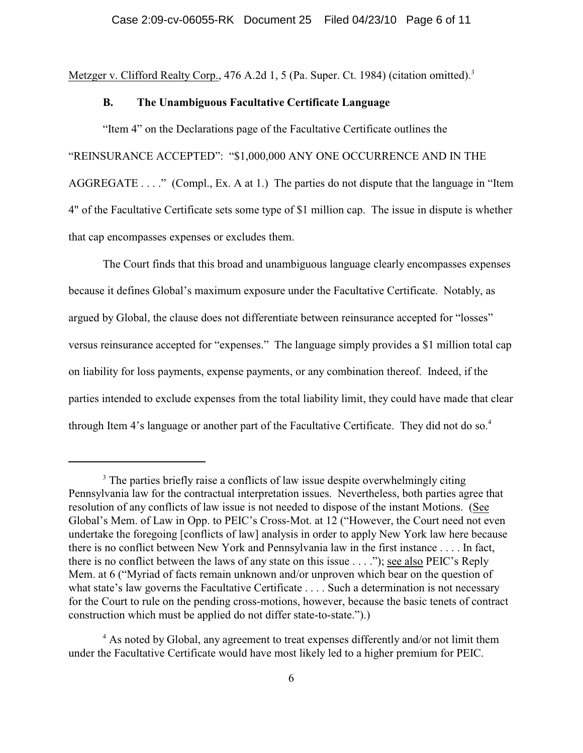Metzger v. Clifford Realty Corp., 476 A.2d 1, 5 (Pa. Super. Ct. 1984) (citation omitted).<sup>3</sup>

## **B. The Unambiguous Facultative Certificate Language**

"Item 4" on the Declarations page of the Facultative Certificate outlines the "REINSURANCE ACCEPTED": "\$1,000,000 ANY ONE OCCURRENCE AND IN THE AGGREGATE . . . ." (Compl., Ex. A at 1.) The parties do not dispute that the language in "Item 4" of the Facultative Certificate sets some type of \$1 million cap. The issue in dispute is whether that cap encompasses expenses or excludes them.

The Court finds that this broad and unambiguous language clearly encompasses expenses because it defines Global's maximum exposure under the Facultative Certificate. Notably, as argued by Global, the clause does not differentiate between reinsurance accepted for "losses" versus reinsurance accepted for "expenses." The language simply provides a \$1 million total cap on liability for loss payments, expense payments, or any combination thereof. Indeed, if the parties intended to exclude expenses from the total liability limit, they could have made that clear through Item 4's language or another part of the Facultative Certificate. They did not do so.<sup>4</sup>

<sup>&</sup>lt;sup>3</sup> The parties briefly raise a conflicts of law issue despite overwhelmingly citing Pennsylvania law for the contractual interpretation issues. Nevertheless, both parties agree that resolution of any conflicts of law issue is not needed to dispose of the instant Motions. (See Global's Mem. of Law in Opp. to PEIC's Cross-Mot. at 12 ("However, the Court need not even undertake the foregoing [conflicts of law] analysis in order to apply New York law here because there is no conflict between New York and Pennsylvania law in the first instance . . . . In fact, there is no conflict between the laws of any state on this issue . . . ."); see also PEIC's Reply Mem. at 6 ("Myriad of facts remain unknown and/or unproven which bear on the question of what state's law governs the Facultative Certificate . . . . Such a determination is not necessary for the Court to rule on the pending cross-motions, however, because the basic tenets of contract construction which must be applied do not differ state-to-state.").)

<sup>&</sup>lt;sup>4</sup> As noted by Global, any agreement to treat expenses differently and/or not limit them under the Facultative Certificate would have most likely led to a higher premium for PEIC.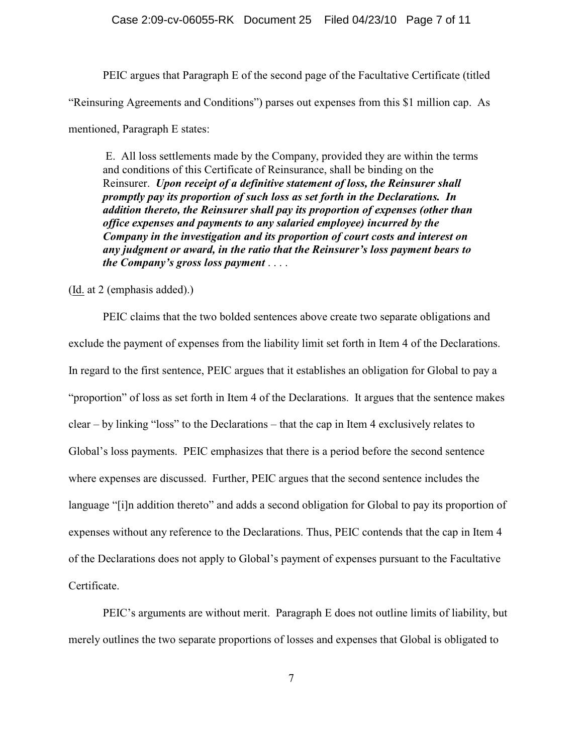PEIC argues that Paragraph E of the second page of the Facultative Certificate (titled "Reinsuring Agreements and Conditions") parses out expenses from this \$1 million cap. As mentioned, Paragraph E states:

 E. All loss settlements made by the Company, provided they are within the terms and conditions of this Certificate of Reinsurance, shall be binding on the Reinsurer. *Upon receipt of a definitive statement of loss, the Reinsurer shall promptly pay its proportion of such loss as set forth in the Declarations. In addition thereto, the Reinsurer shall pay its proportion of expenses (other than office expenses and payments to any salaried employee) incurred by the Company in the investigation and its proportion of court costs and interest on any judgment or award, in the ratio that the Reinsurer's loss payment bears to the Company's gross loss payment* . . . .

(Id. at 2 (emphasis added).)

PEIC claims that the two bolded sentences above create two separate obligations and exclude the payment of expenses from the liability limit set forth in Item 4 of the Declarations. In regard to the first sentence, PEIC argues that it establishes an obligation for Global to pay a "proportion" of loss as set forth in Item 4 of the Declarations. It argues that the sentence makes clear – by linking "loss" to the Declarations – that the cap in Item 4 exclusively relates to Global's loss payments. PEIC emphasizes that there is a period before the second sentence where expenses are discussed. Further, PEIC argues that the second sentence includes the language "[i]n addition thereto" and adds a second obligation for Global to pay its proportion of expenses without any reference to the Declarations. Thus, PEIC contends that the cap in Item 4 of the Declarations does not apply to Global's payment of expenses pursuant to the Facultative Certificate.

PEIC's arguments are without merit. Paragraph E does not outline limits of liability, but merely outlines the two separate proportions of losses and expenses that Global is obligated to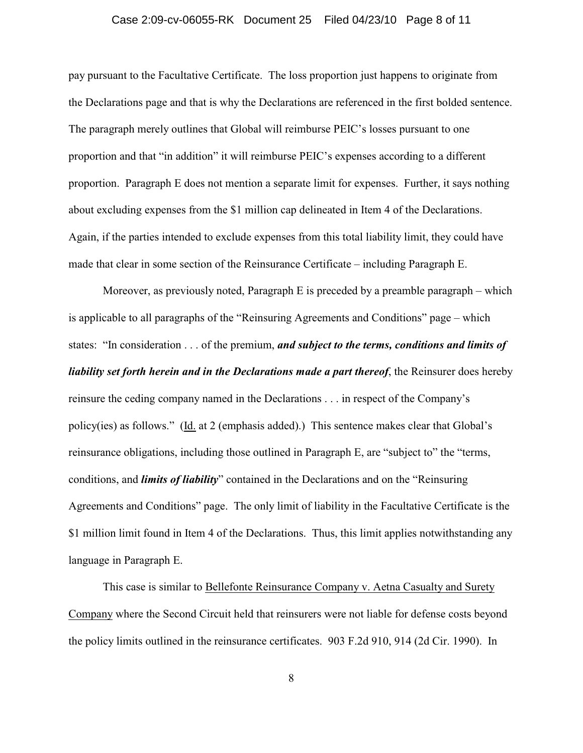# Case 2:09-cv-06055-RK Document 25 Filed 04/23/10 Page 8 of 11

pay pursuant to the Facultative Certificate. The loss proportion just happens to originate from the Declarations page and that is why the Declarations are referenced in the first bolded sentence. The paragraph merely outlines that Global will reimburse PEIC's losses pursuant to one proportion and that "in addition" it will reimburse PEIC's expenses according to a different proportion. Paragraph E does not mention a separate limit for expenses. Further, it says nothing about excluding expenses from the \$1 million cap delineated in Item 4 of the Declarations. Again, if the parties intended to exclude expenses from this total liability limit, they could have made that clear in some section of the Reinsurance Certificate – including Paragraph E.

Moreover, as previously noted, Paragraph E is preceded by a preamble paragraph – which is applicable to all paragraphs of the "Reinsuring Agreements and Conditions" page – which states: "In consideration . . . of the premium, *and subject to the terms, conditions and limits of liability set forth herein and in the Declarations made a part thereof*, the Reinsurer does hereby reinsure the ceding company named in the Declarations . . . in respect of the Company's policy(ies) as follows." (Id. at 2 (emphasis added).) This sentence makes clear that Global's reinsurance obligations, including those outlined in Paragraph E, are "subject to" the "terms, conditions, and *limits of liability*" contained in the Declarations and on the "Reinsuring Agreements and Conditions" page. The only limit of liability in the Facultative Certificate is the \$1 million limit found in Item 4 of the Declarations. Thus, this limit applies notwithstanding any language in Paragraph E.

This case is similar to Bellefonte Reinsurance Company v. Aetna Casualty and Surety Company where the Second Circuit held that reinsurers were not liable for defense costs beyond the policy limits outlined in the reinsurance certificates. 903 F.2d 910, 914 (2d Cir. 1990). In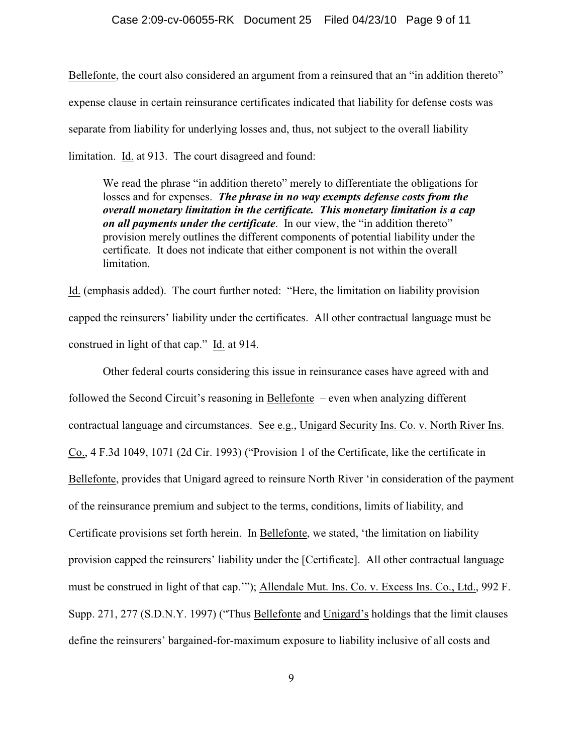Bellefonte, the court also considered an argument from a reinsured that an "in addition thereto" expense clause in certain reinsurance certificates indicated that liability for defense costs was separate from liability for underlying losses and, thus, not subject to the overall liability limitation. Id. at 913. The court disagreed and found:

We read the phrase "in addition thereto" merely to differentiate the obligations for losses and for expenses. *The phrase in no way exempts defense costs from the overall monetary limitation in the certificate. This monetary limitation is a cap on all payments under the certificate*. In our view, the "in addition thereto" provision merely outlines the different components of potential liability under the certificate. It does not indicate that either component is not within the overall limitation.

Id. (emphasis added). The court further noted: "Here, the limitation on liability provision capped the reinsurers' liability under the certificates. All other contractual language must be construed in light of that cap." Id. at 914.

Other federal courts considering this issue in reinsurance cases have agreed with and followed the Second Circuit's reasoning in Bellefonte – even when analyzing different contractual language and circumstances. See e.g., Unigard Security Ins. Co. v. North River Ins. Co., 4 F.3d 1049, 1071 (2d Cir. 1993) ("Provision 1 of the Certificate, like the certificate in Bellefonte, provides that Unigard agreed to reinsure North River 'in consideration of the payment of the reinsurance premium and subject to the terms, conditions, limits of liability, and Certificate provisions set forth herein. In Bellefonte, we stated, 'the limitation on liability provision capped the reinsurers' liability under the [Certificate]. All other contractual language must be construed in light of that cap.'"); Allendale Mut. Ins. Co. v. Excess Ins. Co., Ltd., 992 F. Supp. 271, 277 (S.D.N.Y. 1997) ("Thus Bellefonte and Unigard's holdings that the limit clauses define the reinsurers' bargained-for-maximum exposure to liability inclusive of all costs and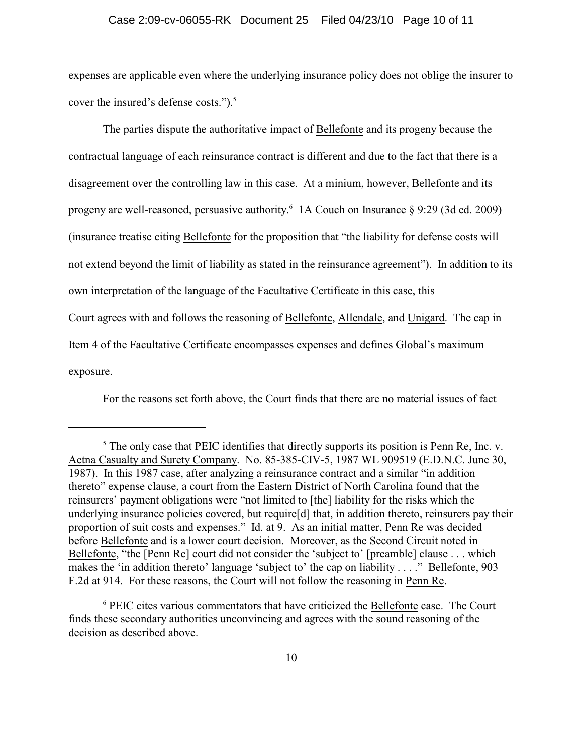#### Case 2:09-cv-06055-RK Document 25 Filed 04/23/10 Page 10 of 11

expenses are applicable even where the underlying insurance policy does not oblige the insurer to cover the insured's defense costs.").<sup>5</sup>

The parties dispute the authoritative impact of Bellefonte and its progeny because the contractual language of each reinsurance contract is different and due to the fact that there is a disagreement over the controlling law in this case. At a minium, however, Bellefonte and its progeny are well-reasoned, persuasive authority.<sup>6</sup> 1A Couch on Insurance  $\S$  9:29 (3d ed. 2009) (insurance treatise citing Bellefonte for the proposition that "the liability for defense costs will not extend beyond the limit of liability as stated in the reinsurance agreement"). In addition to its own interpretation of the language of the Facultative Certificate in this case, this Court agrees with and follows the reasoning of Bellefonte, Allendale, and Unigard. The cap in Item 4 of the Facultative Certificate encompasses expenses and defines Global's maximum exposure.

For the reasons set forth above, the Court finds that there are no material issues of fact

 $\frac{5}{5}$  The only case that PEIC identifies that directly supports its position is Penn Re, Inc. v. Aetna Casualty and Surety Company. No. 85-385-CIV-5, 1987 WL 909519 (E.D.N.C. June 30, 1987). In this 1987 case, after analyzing a reinsurance contract and a similar "in addition thereto" expense clause, a court from the Eastern District of North Carolina found that the reinsurers' payment obligations were "not limited to [the] liability for the risks which the underlying insurance policies covered, but require[d] that, in addition thereto, reinsurers pay their proportion of suit costs and expenses." Id. at 9. As an initial matter, Penn Re was decided before Bellefonte and is a lower court decision. Moreover, as the Second Circuit noted in Bellefonte, "the [Penn Re] court did not consider the 'subject to' [preamble] clause . . . which makes the 'in addition thereto' language 'subject to' the cap on liability . . . ." Bellefonte, 903 F.2d at 914. For these reasons, the Court will not follow the reasoning in Penn Re.

<sup>&</sup>lt;sup>6</sup> PEIC cites various commentators that have criticized the Bellefonte case. The Court finds these secondary authorities unconvincing and agrees with the sound reasoning of the decision as described above.